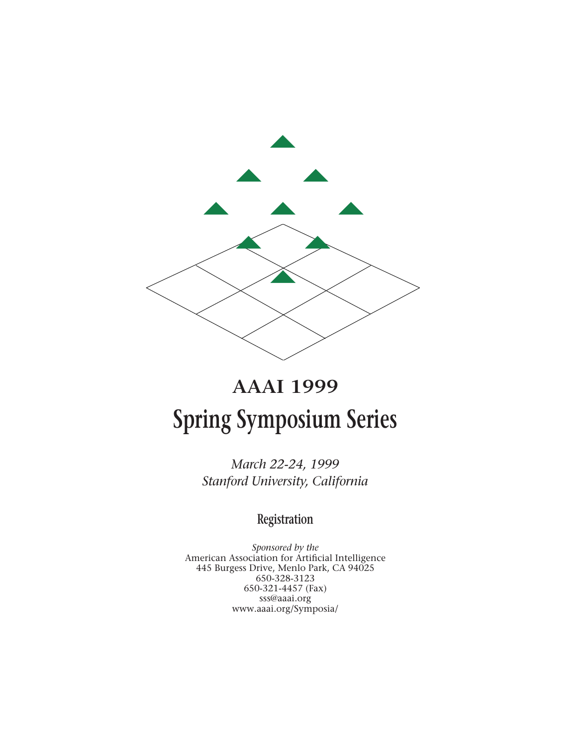

# **AAAI 1999 Spring Symposium Series**

*March 22-24, 1999 Stanford University, California*

# **Registration**

*Sponsored by the* American Association for Artificial Intelligence 445 Burgess Drive, Menlo Park, CA 94025 650-328-3123 650-321-4457 (Fax) sss@aaai.org www.aaai.org/Symposia/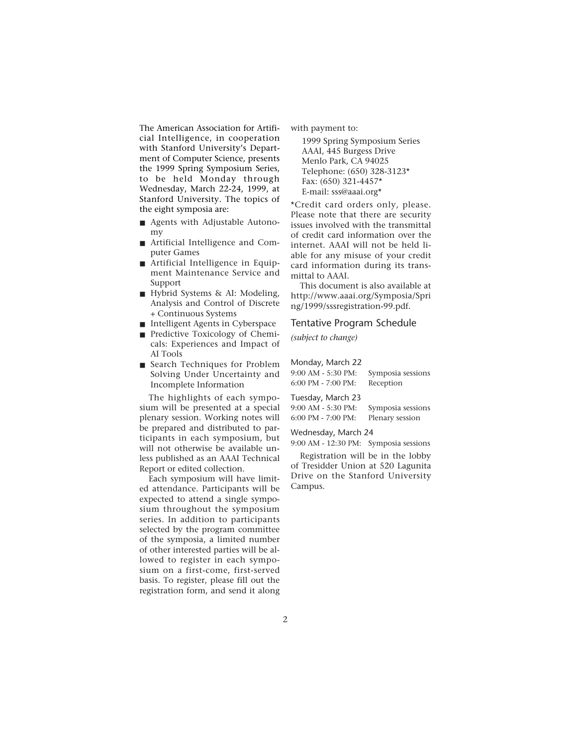The American Association for Artificial Intelligence, in cooperation with Stanford University's Department of Computer Science, presents the 1999 Spring Symposium Series, to be held Monday through Wednesday, March 22-24, 1999, at Stanford University. The topics of the eight symposia are:

- Agents with Adjustable Autonomy
- Artificial Intelligence and Computer Games
- Artificial Intelligence in Equipment Maintenance Service and Support
- Hybrid Systems & AI: Modeling, Analysis and Control of Discrete + Continuous Systems
- Intelligent Agents in Cyberspace
- Predictive Toxicology of Chemicals: Experiences and Impact of AI Tools
- Search Techniques for Problem Solving Under Uncertainty and Incomplete Information

The highlights of each symposium will be presented at a special plenary session. Working notes will be prepared and distributed to participants in each symposium, but will not otherwise be available unless published as an AAAI Technical Report or edited collection.

Each symposium will have limited attendance. Participants will be expected to attend a single symposium throughout the symposium series. In addition to participants selected by the program committee of the symposia, a limited number of other interested parties will be allowed to register in each symposium on a first-come, first-served basis. To register, please fill out the registration form, and send it along with payment to:

1999 Spring Symposium Series AAAI, 445 Burgess Drive Menlo Park, CA 94025 Telephone: (650) 328-3123\* Fax: (650) 321-4457\* E-mail: sss@aaai.org\*

\*Credit card orders only, please. Please note that there are security issues involved with the transmittal of credit card information over the internet. AAAI will not be held liable for any misuse of your credit card information during its transmittal to AAAI.

This document is also available at http://www.aaai.org/Symposia/Spri ng/1999/sssregistration-99.pdf.

#### Tentative Program Schedule

*(subject to change)*

| Monday, March 22                    |                   |
|-------------------------------------|-------------------|
| 9:00 AM - 5:30 PM:                  | Symposia sessions |
| $6.00 \text{ PM} - 7.00 \text{ PM}$ | Reception         |

| 6:00 PM - 7:00 PM: | Reception |  |
|--------------------|-----------|--|
| Tuesday, March 23  |           |  |

| Tuesuay, March 25  |                   |
|--------------------|-------------------|
| 9:00 AM - 5:30 PM: | Symposia sessions |
| 6:00 PM - 7:00 PM: | Plenary session   |

Wednesday, March 24

9:00 AM - 12:30 PM: Symposia sessions

Registration will be in the lobby of Tresidder Union at 520 Lagunita Drive on the Stanford University Campus.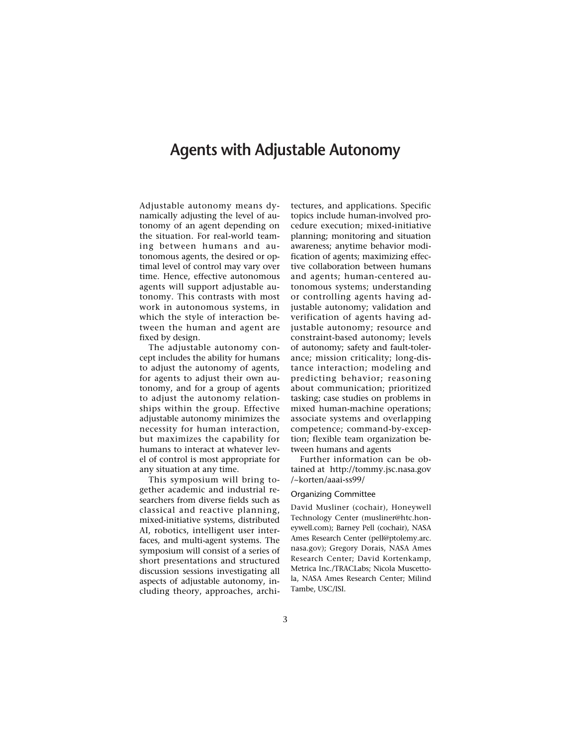## **Agents with Adjustable Autonomy**

Adjustable autonomy means dynamically adjusting the level of autonomy of an agent depending on the situation. For real-world teaming between humans and autonomous agents, the desired or optimal level of control may vary over time. Hence, effective autonomous agents will support adjustable autonomy. This contrasts with most work in autonomous systems, in which the style of interaction between the human and agent are fixed by design.

The adjustable autonomy concept includes the ability for humans to adjust the autonomy of agents, for agents to adjust their own autonomy, and for a group of agents to adjust the autonomy relationships within the group. Effective adjustable autonomy minimizes the necessity for human interaction, but maximizes the capability for humans to interact at whatever level of control is most appropriate for any situation at any time.

This symposium will bring together academic and industrial researchers from diverse fields such as classical and reactive planning, mixed-initiative systems, distributed AI, robotics, intelligent user interfaces, and multi-agent systems. The symposium will consist of a series of short presentations and structured discussion sessions investigating all aspects of adjustable autonomy, including theory, approaches, architectures, and applications. Specific topics include human-involved procedure execution; mixed-initiative planning; monitoring and situation awareness; anytime behavior modification of agents; maximizing effective collaboration between humans and agents; human-centered autonomous systems; understanding or controlling agents having adjustable autonomy; validation and verification of agents having adjustable autonomy; resource and constraint-based autonomy; levels of autonomy; safety and fault-tolerance; mission criticality; long-distance interaction; modeling and predicting behavior; reasoning about communication; prioritized tasking; case studies on problems in mixed human-machine operations; associate systems and overlapping competence; command-by-exception; flexible team organization between humans and agents

Further information can be obtained at http://tommy.jsc.nasa.gov /~korten/aaai-ss99/

#### Organizing Committee

David Musliner (cochair), Honeywell Technology Center (musliner@htc.honeywell.com); Barney Pell (cochair), NASA Ames Research Center (pell@ptolemy.arc. nasa.gov); Gregory Dorais, NASA Ames Research Center; David Kortenkamp, Metrica Inc./TRACLabs; Nicola Muscettola, NASA Ames Research Center; Milind Tambe, USC/ISI.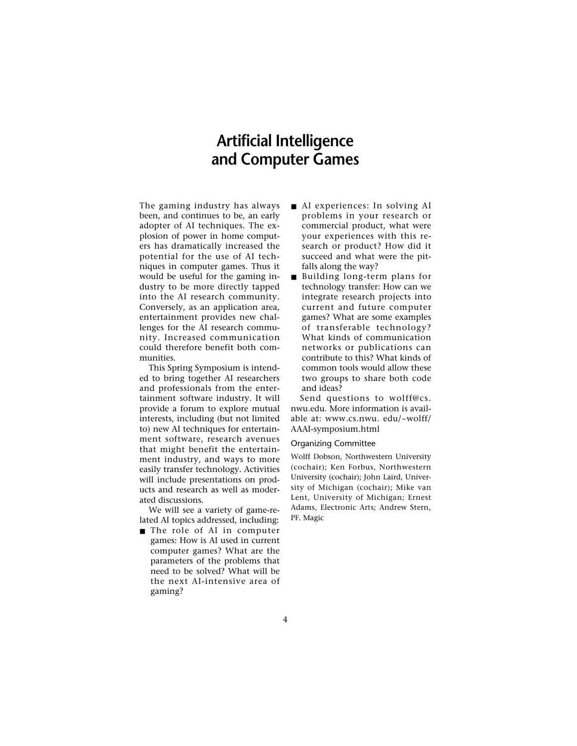# **Artificial Intelligence and Computer Games**

The gaming industry has always been, and continues to be, an early adopter of AI techniques. The explosion of power in home computers has dramatically increased the potential for the use of AI techniques in computer games. Thus it would be useful for the gaming industry to be more directly tapped into the AI research community. Conversely, as an application area, entertainment provides new challenges for the AI research community. Increased communication could therefore benefit both communities.

This Spring Symposium is intended to bring together AI researchers and professionals from the entertainment software industry. It will provide a forum to explore mutual interests, including (but not limited to) new AI techniques for entertainment software, research avenues that might benefit the entertainment industry, and ways to more easily transfer technology. Activities will include presentations on products and research as well as moderated discussions.

We will see a variety of game-related AI topics addressed, including:

■ The role of AI in computer games: How is AI used in current computer games? What are the parameters of the problems that need to be solved? What will be the next AI-intensive area of gaming?

- AI experiences: In solving AI problems in your research or commercial product, what were your experiences with this research or product? How did it succeed and what were the pitfalls along the way?
- Building long-term plans for technology transfer: How can we integrate research projects into current and future computer games? What are some examples of transferable technology? What kinds of communication networks or publications can contribute to this? What kinds of common tools would allow these two groups to share both code and ideas?

Send questions to wolff@cs. nwu.edu. More information is available at: www.cs.nwu. edu/~wolff/ AAAI-symposium.html

#### Organizing Committee

Wolff Dobson, Northwestern University (cochair); Ken Forbus, Northwestern University (cochair); John Laird, University of Michigan (cochair); Mike van Lent, University of Michigan; Ernest Adams, Electronic Arts; Andrew Stern, PF. Magic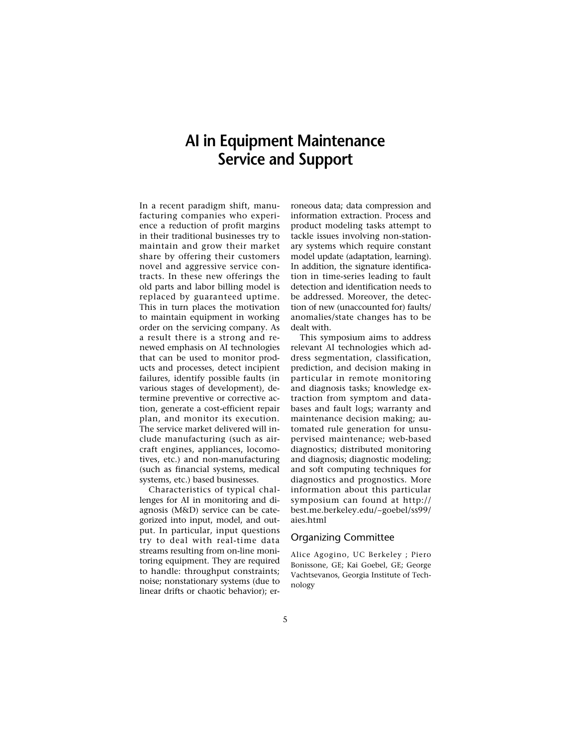# **AI in Equipment Maintenance Service and Support**

In a recent paradigm shift, manufacturing companies who experience a reduction of profit margins in their traditional businesses try to maintain and grow their market share by offering their customers novel and aggressive service contracts. In these new offerings the old parts and labor billing model is replaced by guaranteed uptime. This in turn places the motivation to maintain equipment in working order on the servicing company. As a result there is a strong and renewed emphasis on AI technologies that can be used to monitor products and processes, detect incipient failures, identify possible faults (in various stages of development), determine preventive or corrective action, generate a cost-efficient repair plan, and monitor its execution. The service market delivered will include manufacturing (such as aircraft engines, appliances, locomotives, etc.) and non-manufacturing (such as financial systems, medical systems, etc.) based businesses.

Characteristics of typical challenges for AI in monitoring and diagnosis (M&D) service can be categorized into input, model, and output. In particular, input questions try to deal with real-time data streams resulting from on-line monitoring equipment. They are required to handle: throughput constraints; noise; nonstationary systems (due to linear drifts or chaotic behavior); erroneous data; data compression and information extraction. Process and product modeling tasks attempt to tackle issues involving non-stationary systems which require constant model update (adaptation, learning). In addition, the signature identification in time-series leading to fault detection and identification needs to be addressed. Moreover, the detection of new (unaccounted for) faults/ anomalies/state changes has to be dealt with.

This symposium aims to address relevant AI technologies which address segmentation, classification, prediction, and decision making in particular in remote monitoring and diagnosis tasks; knowledge extraction from symptom and databases and fault logs; warranty and maintenance decision making; automated rule generation for unsupervised maintenance; web-based diagnostics; distributed monitoring and diagnosis; diagnostic modeling; and soft computing techniques for diagnostics and prognostics. More information about this particular symposium can found at http:// best.me.berkeley.edu/~goebel/ss99/ aies.html

### Organizing Committee

Alice Agogino, UC Berkeley ; Piero Bonissone, GE; Kai Goebel, GE; George Vachtsevanos, Georgia Institute of Technology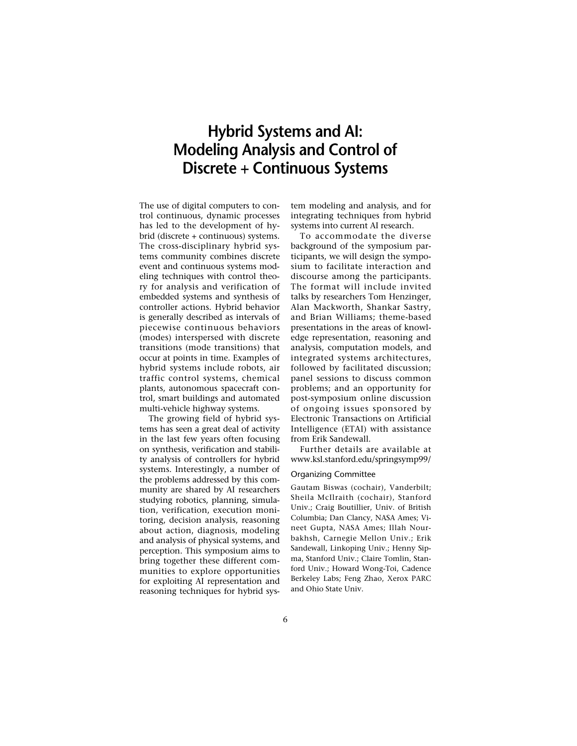# **Hybrid Systems and AI: Modeling Analysis and Control of Discrete + Continuous Systems**

The use of digital computers to control continuous, dynamic processes has led to the development of hybrid (discrete + continuous) systems. The cross-disciplinary hybrid systems community combines discrete event and continuous systems modeling techniques with control theory for analysis and verification of embedded systems and synthesis of controller actions. Hybrid behavior is generally described as intervals of piecewise continuous behaviors (modes) interspersed with discrete transitions (mode transitions) that occur at points in time. Examples of hybrid systems include robots, air traffic control systems, chemical plants, autonomous spacecraft control, smart buildings and automated multi-vehicle highway systems.

The growing field of hybrid systems has seen a great deal of activity in the last few years often focusing on synthesis, verification and stability analysis of controllers for hybrid systems. Interestingly, a number of the problems addressed by this community are shared by AI researchers studying robotics, planning, simulation, verification, execution monitoring, decision analysis, reasoning about action, diagnosis, modeling and analysis of physical systems, and perception. This symposium aims to bring together these different communities to explore opportunities for exploiting AI representation and reasoning techniques for hybrid system modeling and analysis, and for integrating techniques from hybrid systems into current AI research.

To accommodate the diverse background of the symposium participants, we will design the symposium to facilitate interaction and discourse among the participants. The format will include invited talks by researchers Tom Henzinger, Alan Mackworth, Shankar Sastry, and Brian Williams; theme-based presentations in the areas of knowledge representation, reasoning and analysis, computation models, and integrated systems architectures, followed by facilitated discussion; panel sessions to discuss common problems; and an opportunity for post-symposium online discussion of ongoing issues sponsored by Electronic Transactions on Artificial Intelligence (ETAI) with assistance from Erik Sandewall.

Further details are available at www.ksl.stanford.edu/springsymp99/

#### Organizing Committee

Gautam Biswas (cochair), Vanderbilt; Sheila McIlraith (cochair), Stanford Univ.; Craig Boutillier, Univ. of British Columbia; Dan Clancy, NASA Ames; Vineet Gupta, NASA Ames; Illah Nourbakhsh, Carnegie Mellon Univ.; Erik Sandewall, Linkoping Univ.; Henny Sipma, Stanford Univ.; Claire Tomlin, Stanford Univ.; Howard Wong-Toi, Cadence Berkeley Labs; Feng Zhao, Xerox PARC and Ohio State Univ.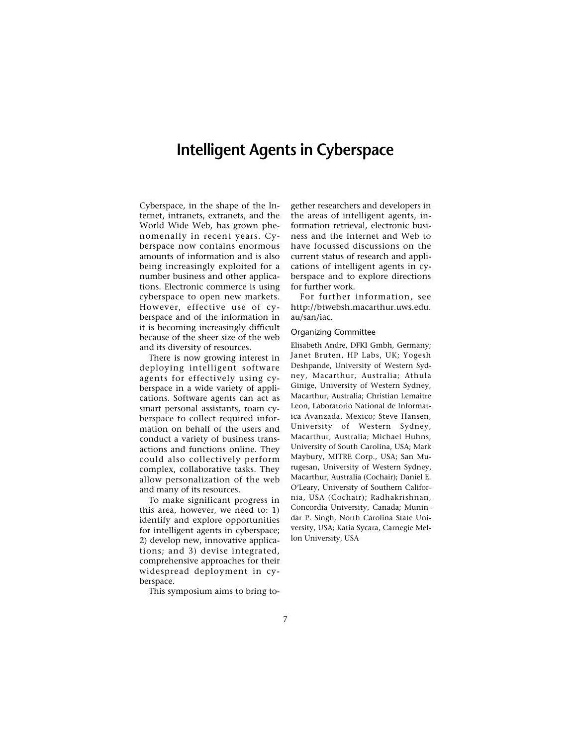# **Intelligent Agents in Cyberspace**

Cyberspace, in the shape of the Internet, intranets, extranets, and the World Wide Web, has grown phenomenally in recent years. Cyberspace now contains enormous amounts of information and is also being increasingly exploited for a number business and other applications. Electronic commerce is using cyberspace to open new markets. However, effective use of cyberspace and of the information in it is becoming increasingly difficult because of the sheer size of the web and its diversity of resources.

There is now growing interest in deploying intelligent software agents for effectively using cyberspace in a wide variety of applications. Software agents can act as smart personal assistants, roam cyberspace to collect required information on behalf of the users and conduct a variety of business transactions and functions online. They could also collectively perform complex, collaborative tasks. They allow personalization of the web and many of its resources.

To make significant progress in this area, however, we need to: 1) identify and explore opportunities for intelligent agents in cyberspace; 2) develop new, innovative applications; and 3) devise integrated, comprehensive approaches for their widespread deployment in cyberspace.

This symposium aims to bring to-

gether researchers and developers in the areas of intelligent agents, information retrieval, electronic business and the Internet and Web to have focussed discussions on the current status of research and applications of intelligent agents in cyberspace and to explore directions for further work.

For further information, see http://btwebsh.macarthur.uws.edu. au/san/iac.

### Organizing Committee

Elisabeth Andre, DFKI Gmbh, Germany; Janet Bruten, HP Labs, UK; Yogesh Deshpande, University of Western Sydney, Macarthur, Australia; Athula Ginige, University of Western Sydney, Macarthur, Australia; Christian Lemaitre Leon, Laboratorio National de Informatica Avanzada, Mexico; Steve Hansen, University of Western Sydney, Macarthur, Australia; Michael Huhns, University of South Carolina, USA; Mark Maybury, MITRE Corp., USA; San Murugesan, University of Western Sydney, Macarthur, Australia (Cochair); Daniel E. O'Leary, University of Southern California, USA (Cochair); Radhakrishnan, Concordia University, Canada; Munindar P. Singh, North Carolina State University, USA; Katia Sycara, Carnegie Mellon University, USA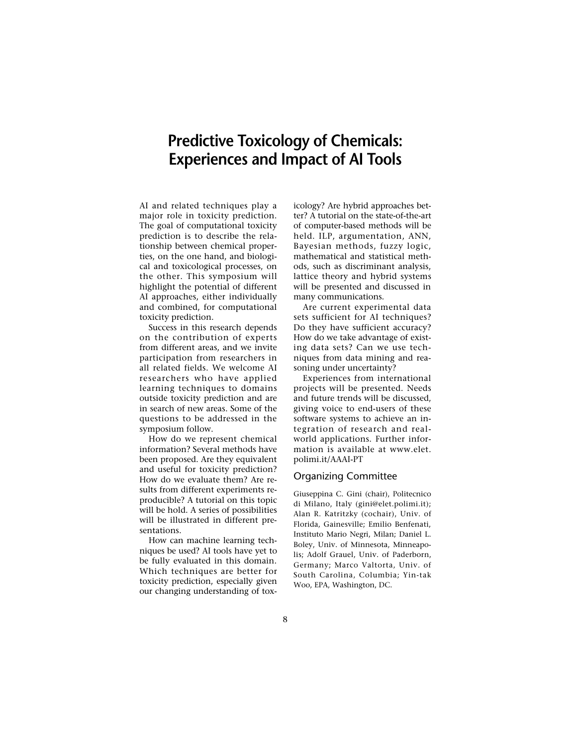# **Predictive Toxicology of Chemicals: Experiences and Impact of AI Tools**

AI and related techniques play a major role in toxicity prediction. The goal of computational toxicity prediction is to describe the relationship between chemical properties, on the one hand, and biological and toxicological processes, on the other. This symposium will highlight the potential of different AI approaches, either individually and combined, for computational toxicity prediction.

Success in this research depends on the contribution of experts from different areas, and we invite participation from researchers in all related fields. We welcome AI researchers who have applied learning techniques to domains outside toxicity prediction and are in search of new areas. Some of the questions to be addressed in the symposium follow.

How do we represent chemical information? Several methods have been proposed. Are they equivalent and useful for toxicity prediction? How do we evaluate them? Are results from different experiments reproducible? A tutorial on this topic will be hold. A series of possibilities will be illustrated in different presentations.

How can machine learning techniques be used? AI tools have yet to be fully evaluated in this domain. Which techniques are better for toxicity prediction, especially given our changing understanding of toxicology? Are hybrid approaches better? A tutorial on the state-of-the-art of computer-based methods will be held. ILP, argumentation, ANN, Bayesian methods, fuzzy logic, mathematical and statistical methods, such as discriminant analysis, lattice theory and hybrid systems will be presented and discussed in many communications.

Are current experimental data sets sufficient for AI techniques? Do they have sufficient accuracy? How do we take advantage of existing data sets? Can we use techniques from data mining and reasoning under uncertainty?

Experiences from international projects will be presented. Needs and future trends will be discussed, giving voice to end-users of these software systems to achieve an integration of research and realworld applications. Further information is available at www.elet. polimi.it/AAAI-PT

### Organizing Committee

Giuseppina C. Gini (chair), Politecnico di Milano, Italy (gini@elet.polimi.it); Alan R. Katritzky (cochair), Univ. of Florida, Gainesville; Emilio Benfenati, Instituto Mario Negri, Milan; Daniel L. Boley, Univ. of Minnesota, Minneapolis; Adolf Grauel, Univ. of Paderborn, Germany; Marco Valtorta, Univ. of South Carolina, Columbia; Yin-tak Woo, EPA, Washington, DC.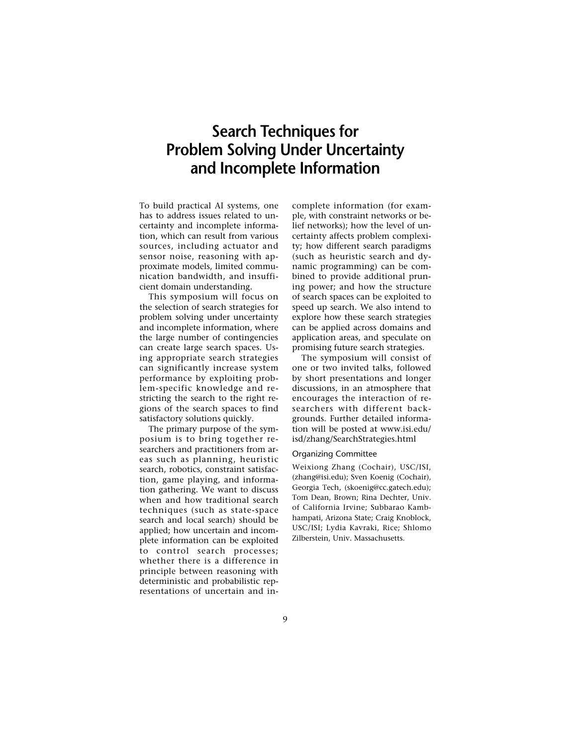# **Search Techniques for Problem Solving Under Uncertainty and Incomplete Information**

To build practical AI systems, one has to address issues related to uncertainty and incomplete information, which can result from various sources, including actuator and sensor noise, reasoning with approximate models, limited communication bandwidth, and insufficient domain understanding.

This symposium will focus on the selection of search strategies for problem solving under uncertainty and incomplete information, where the large number of contingencies can create large search spaces. Using appropriate search strategies can significantly increase system performance by exploiting problem-specific knowledge and restricting the search to the right regions of the search spaces to find satisfactory solutions quickly.

The primary purpose of the symposium is to bring together researchers and practitioners from areas such as planning, heuristic search, robotics, constraint satisfaction, game playing, and information gathering. We want to discuss when and how traditional search techniques (such as state-space search and local search) should be applied; how uncertain and incomplete information can be exploited to control search processes; whether there is a difference in principle between reasoning with deterministic and probabilistic representations of uncertain and incomplete information (for example, with constraint networks or belief networks); how the level of uncertainty affects problem complexity; how different search paradigms (such as heuristic search and dynamic programming) can be combined to provide additional pruning power; and how the structure of search spaces can be exploited to speed up search. We also intend to explore how these search strategies can be applied across domains and application areas, and speculate on promising future search strategies.

The symposium will consist of one or two invited talks, followed by short presentations and longer discussions, in an atmosphere that encourages the interaction of researchers with different backgrounds. Further detailed information will be posted at www.isi.edu/ isd/zhang/SearchStrategies.html

### Organizing Committee

Weixiong Zhang (Cochair), USC/ISI, (zhang@isi.edu); Sven Koenig (Cochair), Georgia Tech, (skoenig@cc.gatech.edu); Tom Dean, Brown; Rina Dechter, Univ. of California Irvine; Subbarao Kambhampati, Arizona State; Craig Knoblock, USC/ISI; Lydia Kavraki, Rice; Shlomo Zilberstein, Univ. Massachusetts.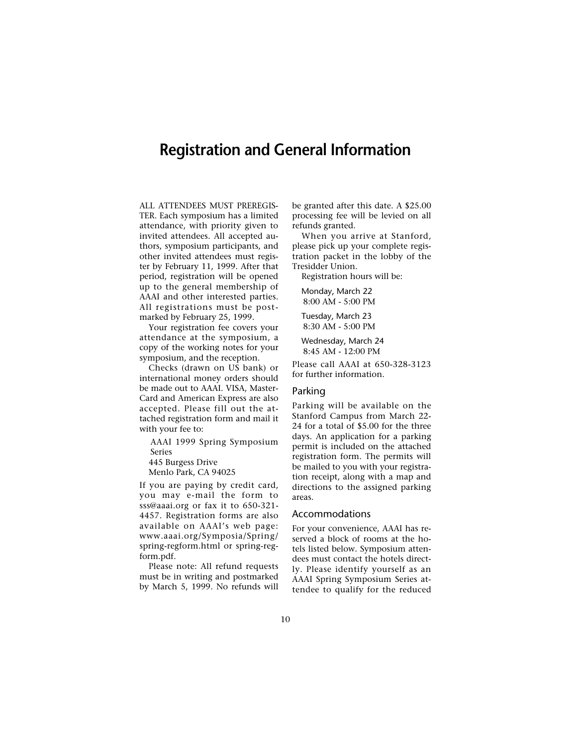## **Registration and General Information**

ALL ATTENDEES MUST PREREGIS-TER. Each symposium has a limited attendance, with priority given to invited attendees. All accepted authors, symposium participants, and other invited attendees must register by February 11, 1999. After that period, registration will be opened up to the general membership of AAAI and other interested parties. All registrations must be postmarked by February 25, 1999.

Your registration fee covers your attendance at the symposium, a copy of the working notes for your symposium, and the reception.

Checks (drawn on US bank) or international money orders should be made out to AAAI. VISA, Master-Card and American Express are also accepted. Please fill out the attached registration form and mail it with your fee to:

AAAI 1999 Spring Symposium Series

445 Burgess Drive

Menlo Park, CA 94025

If you are paying by credit card, you may e-mail the form to sss@aaai.org or fax it to 650-321- 4457. Registration forms are also available on AAAI's web page: www.aaai.org/Symposia/Spring/ spring-regform.html or spring-regform.pdf.

Please note: All refund requests must be in writing and postmarked by March 5, 1999. No refunds will be granted after this date. A \$25.00 processing fee will be levied on all refunds granted.

When you arrive at Stanford, please pick up your complete registration packet in the lobby of the Tresidder Union.

Registration hours will be:

Monday, March 22 8:00 AM - 5:00 PM

Tuesday, March 23 8:30 AM - 5:00 PM

Wednesday, March 24 8:45 AM - 12:00 PM

Please call AAAI at 650-328-3123 for further information.

### Parking

Parking will be available on the Stanford Campus from March 22- 24 for a total of \$5.00 for the three days. An application for a parking permit is included on the attached registration form. The permits will be mailed to you with your registration receipt, along with a map and directions to the assigned parking areas.

#### Accommodations

For your convenience, AAAI has reserved a block of rooms at the hotels listed below. Symposium attendees must contact the hotels directly. Please identify yourself as an AAAI Spring Symposium Series attendee to qualify for the reduced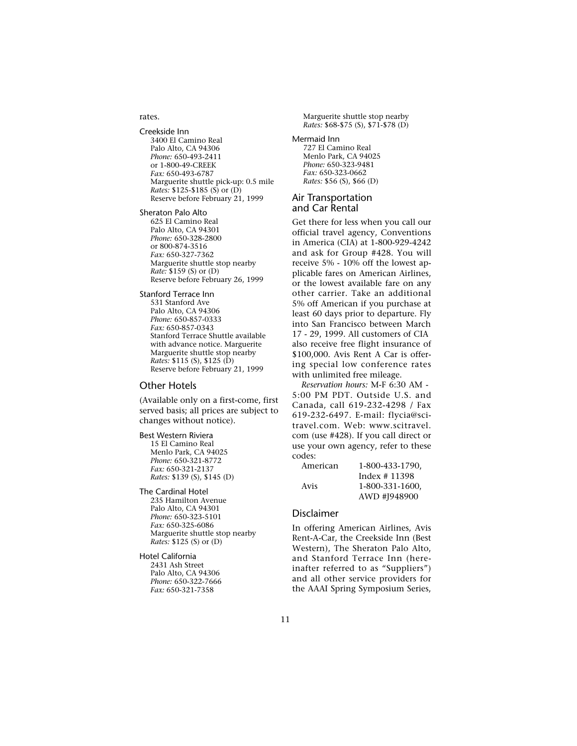#### rates.

Creekside Inn 3400 El Camino Real Palo Alto, CA 94306 *Phone:* 650-493-2411 or 1-800-49-CREEK *Fax:* 650-493-6787 Marguerite shuttle pick-up: 0.5 mile *Rates:* \$125-\$185 (S) or (D) Reserve before February 21, 1999

Sheraton Palo Alto

625 El Camino Real Palo Alto, CA 94301 *Phone:* 650-328-2800 or 800-874-3516 *Fax:* 650-327-7362 Marguerite shuttle stop nearby *Rate:* \$159 (S) or (D) Reserve before February 26, 1999

Stanford Terrace Inn

531 Stanford Ave Palo Alto, CA 94306 *Phone:* 650-857-0333 *Fax:* 650-857-0343 Stanford Terrace Shuttle available with advance notice. Marguerite Marguerite shuttle stop nearby *Rates:* \$115 (S), \$125 (D) Reserve before February 21, 1999

### Other Hotels

(Available only on a first-come, first served basis; all prices are subject to changes without notice).

#### Best Western Riviera

15 El Camino Real Menlo Park, CA 94025 *Phone:* 650-321-8772 *Fax:* 650-321-2137 *Rates:* \$139 (S), \$145 (D)

#### The Cardinal Hotel

235 Hamilton Avenue Palo Alto, CA 94301 *Phone:* 650-323-5101 *Fax:* 650-325-6086 Marguerite shuttle stop nearby *Rates:* \$125 (S) or (D)

Hotel California 2431 Ash Street Palo Alto, CA 94306 *Phone:* 650-322-7666 *Fax:* 650-321-7358

Marguerite shuttle stop nearby *Rates:* \$68-\$75 (S), \$71-\$78 (D)

Mermaid Inn

727 El Camino Real Menlo Park, CA 94025 *Phone:* 650-323-9481 *Fax:* 650-323-0662 *Rates:* \$56 (S), \$66 (D)

#### Air Transportation and Car Rental

Get there for less when you call our official travel agency, Conventions in America (CIA) at 1-800-929-4242 and ask for Group #428. You will receive 5% - 10% off the lowest applicable fares on American Airlines, or the lowest available fare on any other carrier. Take an additional 5% off American if you purchase at least 60 days prior to departure. Fly into San Francisco between March 17 - 29, 1999. All customers of CIA also receive free flight insurance of \$100,000. Avis Rent A Car is offering special low conference rates with unlimited free mileage.

*Reservation hours:* M-F 6:30 AM - 5:00 PM PDT. Outside U.S. and Canada, call 619-232-4298 / Fax 619-232-6497. E-mail: flycia@scitravel.com. Web: www.scitravel. com (use #428). If you call direct or use your own agency, refer to these codes:

| American | 1-800-433-1790. |
|----------|-----------------|
|          | Index $# 11398$ |
| Avis     | 1-800-331-1600. |
|          | AWD #J948900    |

### Disclaimer

In offering American Airlines, Avis Rent-A-Car, the Creekside Inn (Best Western), The Sheraton Palo Alto, and Stanford Terrace Inn (hereinafter referred to as "Suppliers") and all other service providers for the AAAI Spring Symposium Series,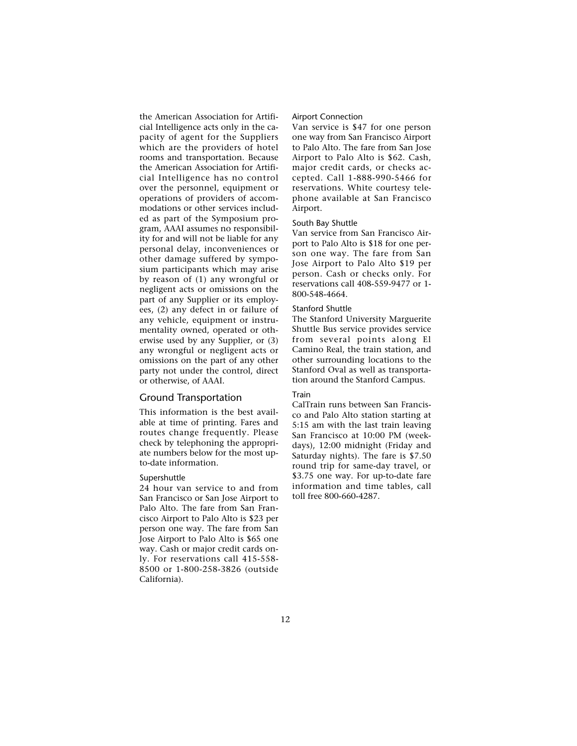the American Association for Artificial Intelligence acts only in the capacity of agent for the Suppliers which are the providers of hotel rooms and transportation. Because the American Association for Artificial Intelligence has no control over the personnel, equipment or operations of providers of accommodations or other services included as part of the Symposium program, AAAI assumes no responsibility for and will not be liable for any personal delay, inconveniences or other damage suffered by symposium participants which may arise by reason of (1) any wrongful or negligent acts or omissions on the part of any Supplier or its employees, (2) any defect in or failure of any vehicle, equipment or instrumentality owned, operated or otherwise used by any Supplier, or (3) any wrongful or negligent acts or omissions on the part of any other party not under the control, direct or otherwise, of AAAI.

### Ground Transportation

This information is the best available at time of printing. Fares and routes change frequently. Please check by telephoning the appropriate numbers below for the most upto-date information.

#### Supershuttle

24 hour van service to and from San Francisco or San Jose Airport to Palo Alto. The fare from San Francisco Airport to Palo Alto is \$23 per person one way. The fare from San Jose Airport to Palo Alto is \$65 one way. Cash or major credit cards only. For reservations call 415-558- 8500 or 1-800-258-3826 (outside California).

#### Airport Connection

Van service is \$47 for one person one way from San Francisco Airport to Palo Alto. The fare from San Jose Airport to Palo Alto is \$62. Cash, major credit cards, or checks accepted. Call 1-888-990-5466 for reservations. White courtesy telephone available at San Francisco Airport.

#### South Bay Shuttle

Van service from San Francisco Airport to Palo Alto is \$18 for one person one way. The fare from San Jose Airport to Palo Alto \$19 per person. Cash or checks only. For reservations call 408-559-9477 or 1- 800-548-4664.

### Stanford Shuttle

The Stanford University Marguerite Shuttle Bus service provides service from several points along El Camino Real, the train station, and other surrounding locations to the Stanford Oval as well as transportation around the Stanford Campus.

#### Train

CalTrain runs between San Francisco and Palo Alto station starting at 5:15 am with the last train leaving San Francisco at 10:00 PM (weekdays), 12:00 midnight (Friday and Saturday nights). The fare is \$7.50 round trip for same-day travel, or \$3.75 one way. For up-to-date fare information and time tables, call toll free 800-660-4287.